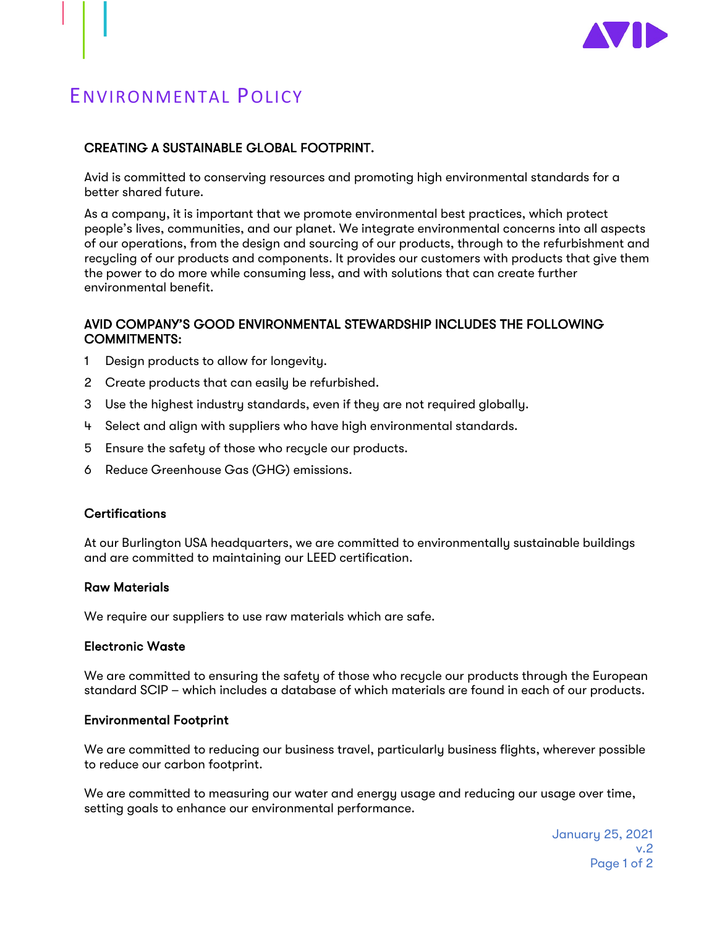

# ENVIRONMENTAL POLICY

# CREATING A SUSTAINABLE GLOBAL FOOTPRINT.

Avid is committed to conserving resources and promoting high environmental standards for a better shared future.

As a company, it is important that we promote environmental best practices, which protect people's lives, communities, and our planet. We integrate environmental concerns into all aspects of our operations, from the design and sourcing of our products, through to the refurbishment and recycling of our products and components. It provides our customers with products that give them the power to do more while consuming less, and with solutions that can create further environmental benefit.

## AVID COMPANY'S GOOD ENVIRONMENTAL STEWARDSHIP INCLUDES THE FOLLOWING COMMITMENTS:

- 1 Design products to allow for longevity.
- 2 Create products that can easily be refurbished.
- 3 Use the highest industry standards, even if they are not required globally.
- 4 Select and align with suppliers who have high environmental standards.
- 5 Ensure the safety of those who recycle our products.
- 6 Reduce Greenhouse Gas (GHG) emissions.

## **Certifications**

At our Burlington USA headquarters, we are committed to environmentally sustainable buildings and are committed to maintaining our LEED certification.

## Raw Materials

We require our suppliers to use raw materials which are safe.

#### Electronic Waste

We are committed to ensuring the safety of those who recycle our products through the European standard SCIP – which includes a database of which materials are found in each of our products.

## Environmental Footprint

We are committed to reducing our business travel, particularly business flights, wherever possible to reduce our carbon footprint.

We are committed to measuring our water and energy usage and reducing our usage over time, setting goals to enhance our environmental performance.

> January 25, 2021 v.2 Page 1 of 2